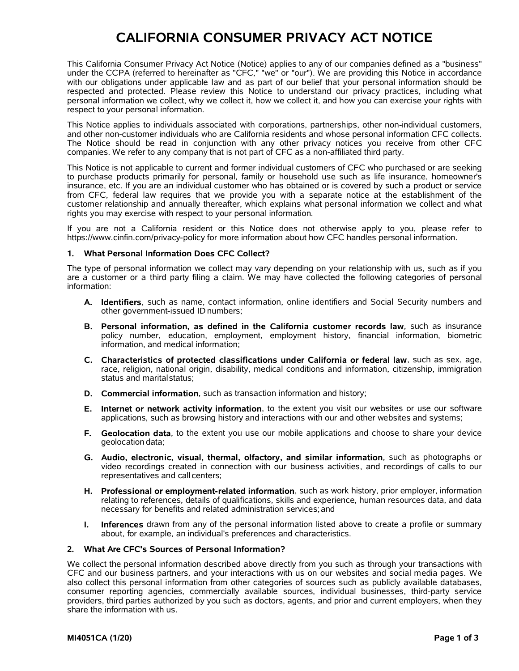# **CALIFORNIA CONSUMER PRIVACY ACT NOTICE**

This California Consumer Privacy Act Notice (Notice) applies to any of our companies defined as a "business" under the CCPA (referred to hereinafter as "CFC," "we" or "our"). We are providing this Notice in accordance with our obligations under applicable law and as part of our belief that your personal information should be respected and protected. Please review this Notice to understand our privacy practices, including what personal information we collect, why we collect it, how we collect it, and how you can exercise your rights with respect to your personal information.

This Notice applies to individuals associated with corporations, partnerships, other non-individual customers, and other non-customer individuals who are California residents and whose personal information CFC collects.<br>Th companies. We refer to any company that is not part of CFC as a non-affiliated third party.

This Notice is not applicable to current and former individual customers of CFC who purchased or are seeking to purchase products primarily for personal, family or household use such as life insurance, homeowner's insurance, etc. If you are an individual customer who has obtained or is covered by such a product or service from CFC, federal law requires that we provide you with a separate notice at the establishment of the customer relationship and annually thereafter, which explains what personal information we collect and what rights you may exercise with respect to your personal information.

If you are not a California resident or this Notice does not otherwise apply to you, please refer to https://www.cinfin.com/privacy-policy for more information about how CFC handles personal information.

### **1. What Personal Information Does CFC Collect?**

The type of personal information we collect may vary depending on your relationship with us, such as if you are a customer or a third party filing a claim. We may have collected the following categories of personal information:

- **A. Identifiers**, such as name, contact information, online identifiers and Social Security numbers and other government-issued ID numbers;
- **B. Personal information, as defined in the California customer records law**, such as insurance policy number, education, employment, employment history, financial information, biometric information, and medical information;
- **C. Characteristics of protected classifications under California or federal law**, such as sex, age, race, religion, national origin, disability, medical conditions and information, citizenship, immigration status and marital status;
- **D. Commercial information**, such as transaction information and history;
- **E. Internet or network activity information**, to the extent you visit our websites or use our software applications, such as browsing history and interactions with our and other websites and systems;
- **F. Geolocation data**, to the extent you use our mobile applications and choose to share your device geolocation data;
- **G. Audio, electronic, visual, thermal, olfactory, and similar information**, such as photographs or video recordings created in connection with our business activities, and recordings of calls to our representatives and call centers;
- **H. Professional or employment-related information**, such as work history, prior employer, information relating to references, details of qualifications, skills and experience, human resources data, and data necessary for benefits and related administration services;and
- **I. Inferences** drawn from any of the personal information listed above to create a profile or summary about, for example, an individual's preferences and characteristics.

#### **2. What Are CFC's Sources of Personal Information?**

We collect the personal information described above directly from you such as through your transactions with CFC and our business partners, and your interactions with us on our websites and social media pages. We also collect this personal information from other categories of sources such as publicly available databases, consumer reporting agencies, commercially available sources, individual businesses, third-party service providers, third parties authorized by you such as doctors, agents, and prior and current employers, when they share the information with us.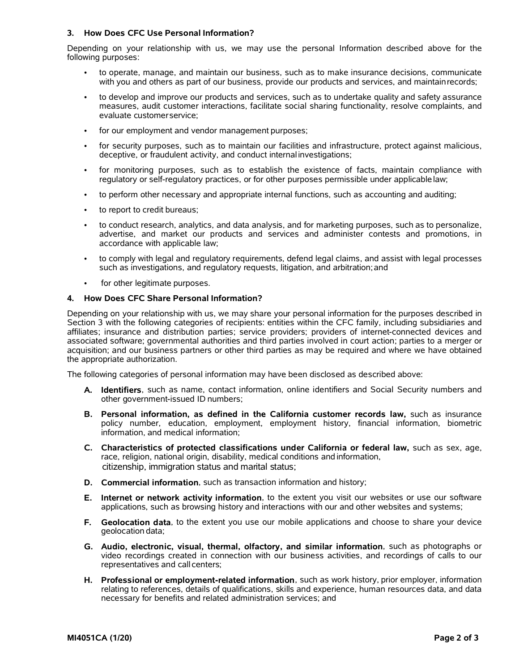# **3. How Does CFC Use Personal Information?**

Depending on your relationship with us, we may use the personal Information described above for the following purposes:

- to operate, manage, and maintain our business, such as to make insurance decisions, communicate with you and others as part of our business, provide our products and services, and maintainrecords;
- to develop and improve our products and services, such as to undertake quality and safety assurance measures, audit customer interactions, facilitate social sharing functionality, resolve complaints, and evaluate customerservice;
- for our employment and vendor management purposes;
- for security purposes, such as to maintain our facilities and infrastructure, protect against malicious, deceptive, or fraudulent activity, and conduct internal investigations;
- for monitoring purposes, such as to establish the existence of facts, maintain compliance with regulatory or self-regulatory practices, or for other purposes permissible under applicablelaw;
- to perform other necessary and appropriate internal functions, such as accounting and auditing;
- to report to credit bureaus;
- to conduct research, analytics, and data analysis, and for marketing purposes, such as to personalize, advertise, and market our products and services and administer contests and promotions, in accordance with applicable law;
- to comply with legal and regulatory requirements, defend legal claims, and assist with legal processes such as investigations, and regulatory requests, litigation, and arbitration;and
- for other legitimate purposes.

# **4. How Does CFC Share Personal Information?**

Depending on your relationship with us, we may share your personal information for the purposes described in Section 3 with the following categories of recipients: entities within the CFC family, including subsidiaries and affiliates; insurance and distribution parties; service providers; providers of internet-connected devices and associated software; governmental authorities and third parties involved in court action; parties to a merger or acquisition; and our business partners or other third parties as may be required and where we have obtained the appropriate authorization.

The following categories of personal information may have been disclosed as described above:

- **A. Identifiers**, such as name, contact information, online identifiers and Social Security numbers and other government-issued ID numbers;
- **B. Personal information, as defined in the California customer records law,** such as insurance policy number, education, employment, employment history, financial information, biometric information, and medical information;
- **C. Characteristics of protected classifications under California or federal law,** such as sex, age, race, religion, national origin, disability, medical conditions and information, citizenship, immigration status and marital status;
- **D. Commercial information**, such as transaction information and history;
- **E. Internet or network activity information**, to the extent you visit our websites or use our software applications, such as browsing history and interactions with our and other websites and systems;
- **F. Geolocation data**, to the extent you use our mobile applications and choose to share your device geolocation data;
- **G. Audio, electronic, visual, thermal, olfactory, and similar information**, such as photographs or video recordings created in connection with our business activities, and recordings of calls to our representatives and call centers;
- **H. Professional or employment-related information**, such as work history, prior employer, information relating to references, details of qualifications, skills and experience, human resources data, and data necessary for benefits and related administration services; and